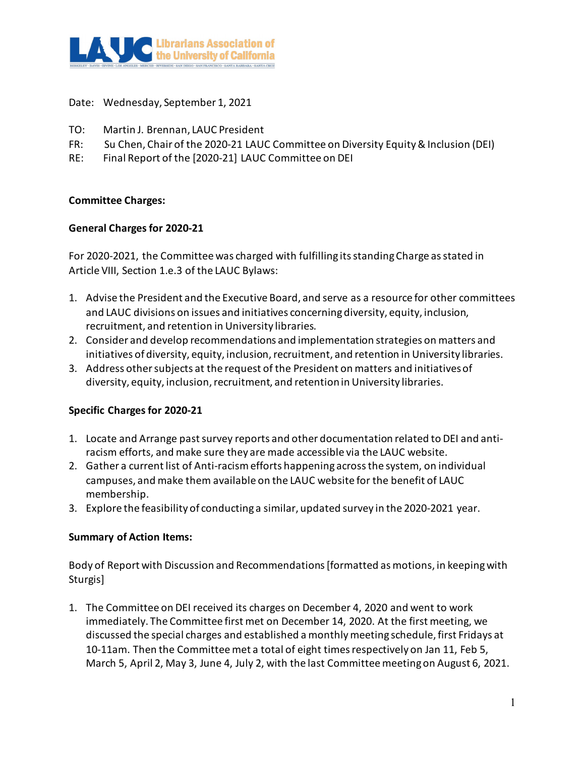

Date: Wednesday, September 1, 2021

- TO: Martin J. Brennan, LAUC President
- FR: Su Chen, Chair of the 2020-21 LAUC Committee on Diversity Equity & Inclusion (DEI)
- RE: Final Report of the [2020-21] LAUC Committee on DEI

# **Committee Charges:**

# **General Charges for 2020-21**

For 2020-2021, the Committee was charged with fulfilling its standing Charge as stated in Article VIII, Section 1.e.3 of the LAUC Bylaws:

- 1. Advise the President and the Executive Board, and serve as a resource for other committees and LAUC divisions on issues and initiatives concerning diversity, equity, inclusion, recruitment, and retention in University libraries.
- 2. Consider and develop recommendations and implementation strategies on matters and initiatives of diversity, equity, inclusion, recruitment, and retention in University libraries.
- 3. Address other subjects at the request of the President on matters and initiatives of diversity, equity, inclusion, recruitment, and retention in University libraries.

# **Specific Charges for 2020-21**

- 1. Locate and Arrange past survey reports and other documentation related to DEI and antiracism efforts, and make sure they are made accessible via the LAUC website.
- 2. Gather a current list of Anti-racism efforts happening across the system, on individual campuses, and make them available on the LAUC website for the benefit of LAUC membership.
- 3. Explore the feasibility of conducting a similar, updated survey in the 2020-2021 year.

# **Summary of Action Items:**

Body of Report with Discussion and Recommendations [formatted as motions, in keeping with Sturgis]

1. The Committee on DEI received its charges on December 4, 2020 and went to work immediately. The Committee first met on December 14, 2020. At the first meeting, we discussed the special charges and established a monthly meeting schedule, first Fridays at 10-11am. Then the Committee met a total of eight times respectively on Jan 11, Feb 5, March 5, April 2, May 3, June 4, July 2, with the last Committee meeting on August 6, 2021.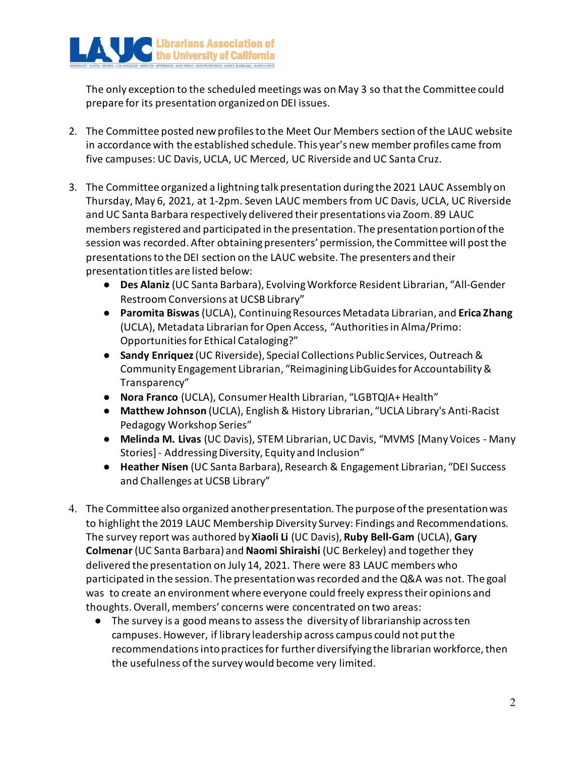

The only exception to the scheduled meetings was on May 3 so that the Committee could prepare for its presentation organized on DEI issues.

- 2. The Committee posted new profiles to the Meet Our Members section of the LAUC website in accordance with the established schedule. This year's new member profiles came from five campuses: UC Davis, UCLA, UC Merced, UC Riverside and UC Santa Cruz.
- 3. The Committee organized a lightning talk presentation during the 2021 LAUC Assembly on Thursday, May 6, 2021, at 1-2pm. Seven LAUC members from UC Davis, UCLA, UC Riverside and UC Santa Barbara respectively delivered their presentations via Zoom. 89 LAUC members registered and participated in the presentation. The presentation portion of the session was recorded. After obtaining presenters' permission, the Committee will post the presentations to the DEI section on the LAUC website. The presenters and their presentation titles are listed below:
	- **Des Alaniz** (UC Santa Barbara), Evolving Workforce Resident Librarian, "All-Gender Restroom Conversions at UCSB Library"
	- **Paromita Biswas** (UCLA), Continuing Resources Metadata Librarian, and **Erica Zhang**  (UCLA), Metadata Librarian for Open Access, "Authorities in Alma/Primo: Opportunities for Ethical Cataloging?"
	- **Sandy Enriquez** (UC Riverside), Special Collections Public Services, Outreach & Community Engagement Librarian, "Reimagining LibGuides for Accountability & Transparency"
	- **Nora Franco** (UCLA), Consumer Health Librarian, "LGBTQIA+ Health"
	- **Matthew Johnson** (UCLA), English & History Librarian, "UCLA Library's Anti-Racist Pedagogy Workshop Series"
	- **Melinda M. Livas** (UC Davis), STEM Librarian, UC Davis, "MVMS [Many Voices Many Stories] - Addressing Diversity, Equity and Inclusion"
	- **Heather Nisen** (UC Santa Barbara), Research & Engagement Librarian, "DEI Success and Challenges at UCSB Library"
- 4. The Committee also organized another presentation. The purpose of the presentation was to highlight the 2019 LAUC Membership Diversity Survey: Findings and Recommendations. The survey report was authored by **Xiaoli Li** (UC Davis), **Ruby Bell-Gam** (UCLA), **Gary Colmenar** (UC Santa Barbara) and **Naomi Shiraishi** (UC Berkeley) and together they delivered the presentation on July 14, 2021. There were 83 LAUC members who participated in the session. The presentation was recorded and the Q&A was not. The goal was to create an environment where everyone could freely express their opinions and thoughts. Overall, members' concerns were concentrated on two areas:
	- The survey is a good means to assess the diversity of librarianship across ten campuses. However, if library leadership across campus could not put the recommendations into practices for further diversifying the librarian workforce, then the usefulness of the survey would become very limited.